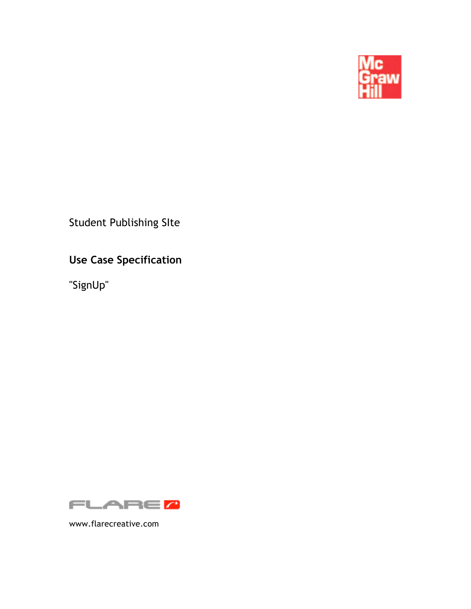

Student Publishing SIte

**Use Case Specification**

"SignUp"



www.flarecreative.com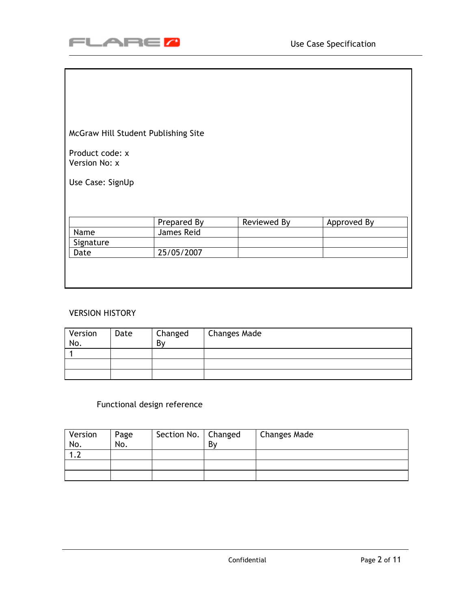

McGraw Hill Student Publishing Site

Product code: x Version No: x

Use Case: SignUp

|           | Prepared By | Reviewed By | Approved By |
|-----------|-------------|-------------|-------------|
| Name      | James Reid  |             |             |
| Signature |             |             |             |
| Date      | 25/05/2007  |             |             |
|           |             |             |             |
|           |             |             |             |
|           |             |             |             |

#### VERSION HISTORY

| Version<br>No. | Date | Changed<br>By | <b>Changes Made</b> |
|----------------|------|---------------|---------------------|
|                |      |               |                     |
|                |      |               |                     |
|                |      |               |                     |

# Functional design reference

| Version<br>No. | Page<br>No. | Section No.   Changed | By | <b>Changes Made</b> |
|----------------|-------------|-----------------------|----|---------------------|
|                |             |                       |    |                     |
|                |             |                       |    |                     |
|                |             |                       |    |                     |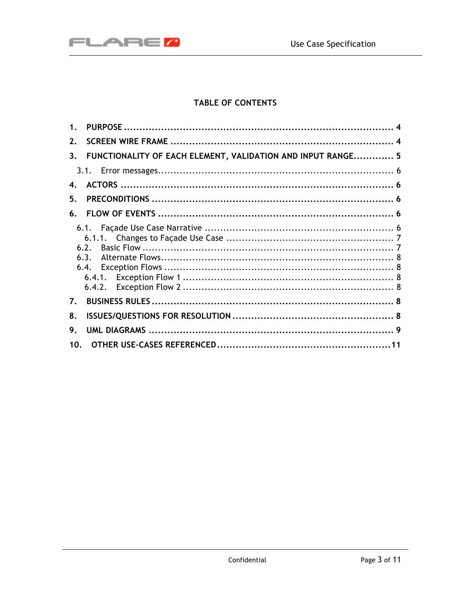

# TABLE OF CONTENTS

| $\mathbf{1}$ .                                                         |  |
|------------------------------------------------------------------------|--|
| $2_{-}$                                                                |  |
| FUNCTIONALITY OF EACH ELEMENT, VALIDATION AND INPUT RANGE 5<br>$3_{-}$ |  |
|                                                                        |  |
| 4.                                                                     |  |
| 5.                                                                     |  |
| 6.                                                                     |  |
| 6.2.<br>6.3.                                                           |  |
| $\mathbf{7}$ .                                                         |  |
| 8.                                                                     |  |
| 9.                                                                     |  |
| 10 <sub>1</sub>                                                        |  |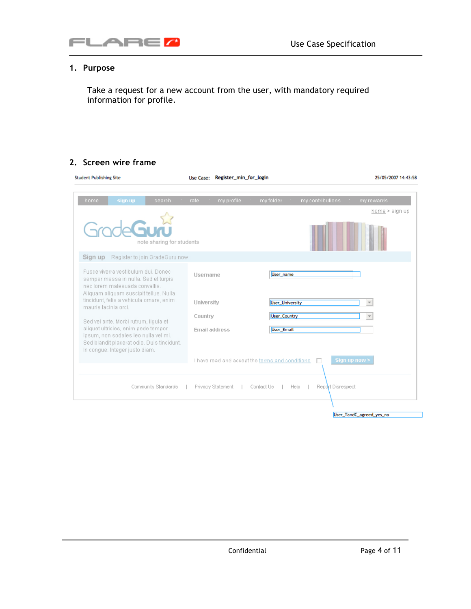

# **1. Purpose**

Take a request for a new account from the user, with mandatory required information for profile.

#### **2. Screen wire frame**

| <b>Student Publishing Site</b>                                                                                                                              | Register_min_for_login<br>Use Case:                                     | 25/05/2007 14:43:58                 |
|-------------------------------------------------------------------------------------------------------------------------------------------------------------|-------------------------------------------------------------------------|-------------------------------------|
| home<br>search<br>sign up<br>a.                                                                                                                             | rate<br>my folder.<br>my contributions.<br>my profile<br>a.<br>18<br>A. | my rewards<br>n a<br>home > sign up |
| note sharing for students                                                                                                                                   |                                                                         |                                     |
| Sign up<br>Register to join GradeGuru now                                                                                                                   |                                                                         |                                     |
| Fusce viverra vestibulum dui. Donec-<br>semper massa in nulla. Sed et turpis<br>nec lorem malesuada convallis.                                              | User_name<br><b>Hsername</b>                                            |                                     |
| Aliquam aliquam suscipit tellus. Nulla<br>tincidunt, felis a vehicula ornare, enim-<br>mauris lacinia orci.                                                 | University<br>User_University                                           |                                     |
| Sed vel ante. Morbi rutrum, ligula et                                                                                                                       | <b>User_Country</b><br>Country                                          |                                     |
| aliquet ultricies, enim pede tempor<br>ipsum, non sodales leo nulla vel mi.<br>Sed blandit placerat odio. Duis tincidunt.<br>In conque, Integer justo diam. | Email address<br><b>User_Email</b>                                      |                                     |
| Sign up now ><br>I have read and accept the terms and conditions                                                                                            |                                                                         |                                     |
| Community Standards                                                                                                                                         | Privacy Statement<br>Contact Us<br>Help                                 | Report Disrespect                   |
|                                                                                                                                                             |                                                                         |                                     |

User\_TandC\_agreed\_yes\_no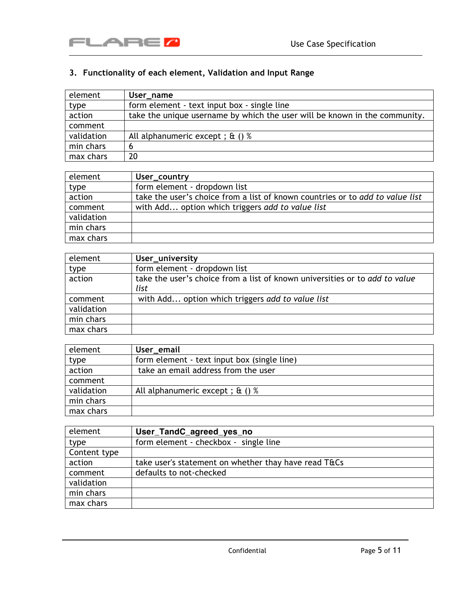

# **3. Functionality of each element, Validation and Input Range**

| element    | User_name                                                                  |
|------------|----------------------------------------------------------------------------|
| type       | form element - text input box - single line                                |
| action     | take the unique username by which the user will be known in the community. |
| comment    |                                                                            |
| validation | All alphanumeric except; $\alpha$ () %                                     |
| min chars  |                                                                            |
| max chars  | 20                                                                         |

| element    | User_country                                                                  |
|------------|-------------------------------------------------------------------------------|
| type       | form element - dropdown list                                                  |
| action     | take the user's choice from a list of known countries or to add to value list |
| comment    | with Add option which triggers add to value list                              |
| validation |                                                                               |
| min chars  |                                                                               |
| max chars  |                                                                               |

| element    | User_university                                                             |
|------------|-----------------------------------------------------------------------------|
| type       | form element - dropdown list                                                |
| action     | take the user's choice from a list of known universities or to add to value |
|            | list                                                                        |
| comment    | with Add option which triggers add to value list                            |
| validation |                                                                             |
| min chars  |                                                                             |
| max chars  |                                                                             |

| element    | User_email                                  |
|------------|---------------------------------------------|
| type       | form element - text input box (single line) |
| action     | take an email address from the user         |
| comment    |                                             |
| validation | All alphanumeric except; $\alpha$ () %      |
| min chars  |                                             |
| max chars  |                                             |

| element      | User_TandC_agreed_yes_no                             |
|--------------|------------------------------------------------------|
| type         | form element - checkbox - single line                |
| Content type |                                                      |
| action       | take user's statement on whether thay have read T&Cs |
| comment      | defaults to not-checked                              |
| validation   |                                                      |
| min chars    |                                                      |
| max chars    |                                                      |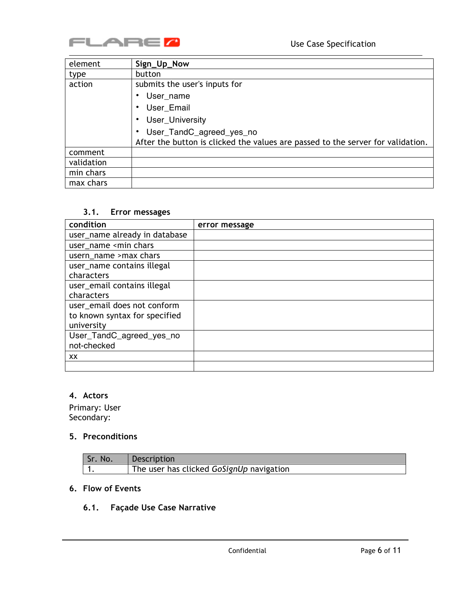

| element    | Sign_Up_Now                                                                     |
|------------|---------------------------------------------------------------------------------|
| type       | button                                                                          |
| action     | submits the user's inputs for                                                   |
|            | User name                                                                       |
|            | User_Email                                                                      |
|            | User_University                                                                 |
|            | User_TandC_agreed_yes_no                                                        |
|            | After the button is clicked the values are passed to the server for validation. |
| comment    |                                                                                 |
| validation |                                                                                 |
| min chars  |                                                                                 |
| max chars  |                                                                                 |

### **3.1. Error messages**

| condition                                      | error message |
|------------------------------------------------|---------------|
| user_name already in database                  |               |
| user_name <min chars<="" td=""><td></td></min> |               |
| usern_name >max chars                          |               |
| user_name contains illegal                     |               |
| characters                                     |               |
| user_email contains illegal                    |               |
| characters                                     |               |
| user_email does not conform                    |               |
| to known syntax for specified                  |               |
| university                                     |               |
| User_TandC_agreed_yes_no                       |               |
| not-checked                                    |               |
| XX.                                            |               |
|                                                |               |

# **4. Actors**

Primary: User Secondary:

### **5. Preconditions**

| Sr. No. | Description                              |
|---------|------------------------------------------|
|         | The user has clicked GoSignUp navigation |

# **6. Flow of Events**

# **6.1. Façade Use Case Narrative**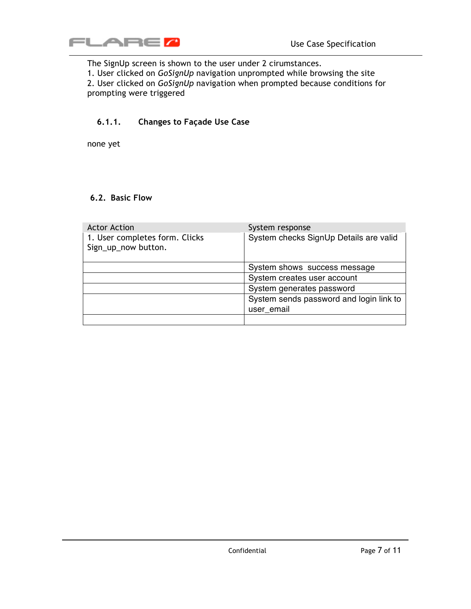

The SignUp screen is shown to the user under 2 cirumstances.

1. User clicked on *GoSignUp* navigation unprompted while browsing the site

2. User clicked on *GoSignUp* navigation when prompted because conditions for prompting were triggered

### **6.1.1. Changes to Façade Use Case**

none yet

#### **6.2. Basic Flow**

| <b>Actor Action</b>                                   | System response                         |
|-------------------------------------------------------|-----------------------------------------|
| 1. User completes form. Clicks<br>Sign_up_now button. | System checks SignUp Details are valid  |
|                                                       | System shows success message            |
|                                                       | System creates user account             |
|                                                       | System generates password               |
|                                                       | System sends password and login link to |
|                                                       | user email                              |
|                                                       |                                         |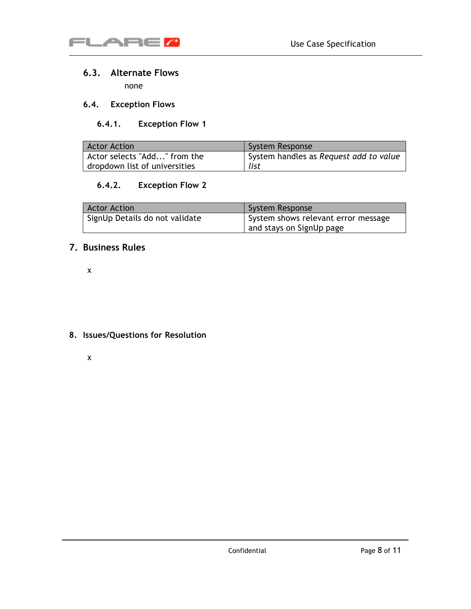

### **6.3. Alternate Flows**

none

### **6.4. Exception Flows**

# **6.4.1. Exception Flow 1**

| <b>Actor Action</b>           | <b>System Response</b>                 |
|-------------------------------|----------------------------------------|
| Actor selects "Add" from the  | System handles as Request add to value |
| dropdown list of universities | list                                   |

### **6.4.2. Exception Flow 2**

| <b>Actor Action</b>            | System Response                     |
|--------------------------------|-------------------------------------|
| SignUp Details do not validate | System shows relevant error message |
|                                | and stays on SignUp page            |

# **7. Business Rules**

x

### **8. Issues/Questions for Resolution**

x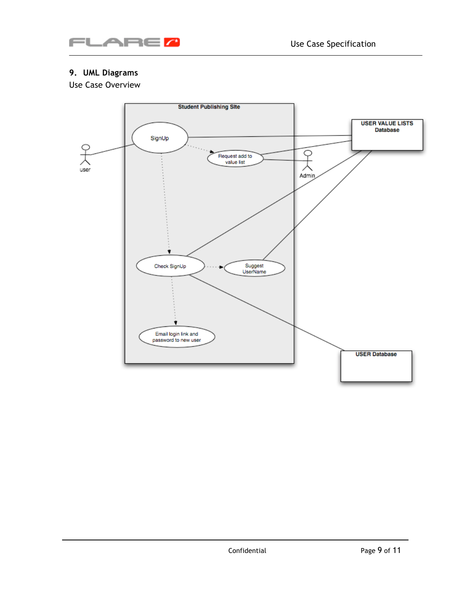

# **9. UML Diagrams**

Use Case Overview

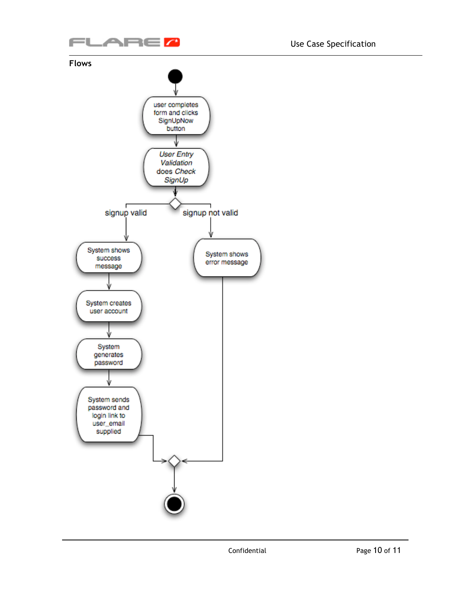

#### **Flows**